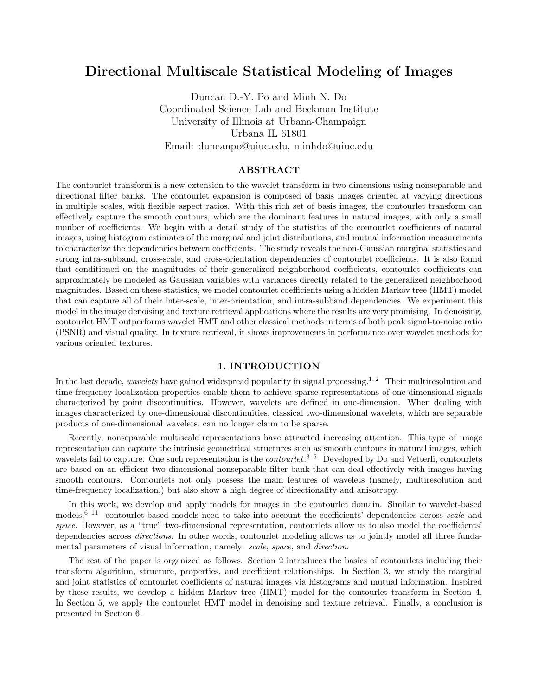# Directional Multiscale Statistical Modeling of Images

Duncan D.-Y. Po and Minh N. Do Coordinated Science Lab and Beckman Institute University of Illinois at Urbana-Champaign Urbana IL 61801 Email: duncanpo@uiuc.edu, minhdo@uiuc.edu

### ABSTRACT

The contourlet transform is a new extension to the wavelet transform in two dimensions using nonseparable and directional filter banks. The contourlet expansion is composed of basis images oriented at varying directions in multiple scales, with flexible aspect ratios. With this rich set of basis images, the contourlet transform can effectively capture the smooth contours, which are the dominant features in natural images, with only a small number of coefficients. We begin with a detail study of the statistics of the contourlet coefficients of natural images, using histogram estimates of the marginal and joint distributions, and mutual information measurements to characterize the dependencies between coefficients. The study reveals the non-Gaussian marginal statistics and strong intra-subband, cross-scale, and cross-orientation dependencies of contourlet coefficients. It is also found that conditioned on the magnitudes of their generalized neighborhood coefficients, contourlet coefficients can approximately be modeled as Gaussian variables with variances directly related to the generalized neighborhood magnitudes. Based on these statistics, we model contourlet coefficients using a hidden Markov tree (HMT) model that can capture all of their inter-scale, inter-orientation, and intra-subband dependencies. We experiment this model in the image denoising and texture retrieval applications where the results are very promising. In denoising, contourlet HMT outperforms wavelet HMT and other classical methods in terms of both peak signal-to-noise ratio (PSNR) and visual quality. In texture retrieval, it shows improvements in performance over wavelet methods for various oriented textures.

### 1. INTRODUCTION

In the last decade, *wavelets* have gained widespread popularity in signal processing.<sup>1, 2</sup> Their multiresolution and time-frequency localization properties enable them to achieve sparse representations of one-dimensional signals characterized by point discontinuities. However, wavelets are defined in one-dimension. When dealing with images characterized by one-dimensional discontinuities, classical two-dimensional wavelets, which are separable products of one-dimensional wavelets, can no longer claim to be sparse.

Recently, nonseparable multiscale representations have attracted increasing attention. This type of image representation can capture the intrinsic geometrical structures such as smooth contours in natural images, which wavelets fail to capture. One such representation is the *contourlet*.<sup>3-5</sup> Developed by Do and Vetterli, contourlets are based on an efficient two-dimensional nonseparable filter bank that can deal effectively with images having smooth contours. Contourlets not only possess the main features of wavelets (namely, multiresolution and time-frequency localization,) but also show a high degree of directionality and anisotropy.

In this work, we develop and apply models for images in the contourlet domain. Similar to wavelet-based models,<sup>6–11</sup> contourlet-based models need to take into account the coefficients' dependencies across scale and space. However, as a "true" two-dimensional representation, contourlets allow us to also model the coefficients' dependencies across *directions*. In other words, contourlet modeling allows us to jointly model all three fundamental parameters of visual information, namely: scale, space, and direction.

The rest of the paper is organized as follows. Section 2 introduces the basics of contourlets including their transform algorithm, structure, properties, and coefficient relationships. In Section 3, we study the marginal and joint statistics of contourlet coefficients of natural images via histograms and mutual information. Inspired by these results, we develop a hidden Markov tree (HMT) model for the contourlet transform in Section 4. In Section 5, we apply the contourlet HMT model in denoising and texture retrieval. Finally, a conclusion is presented in Section 6.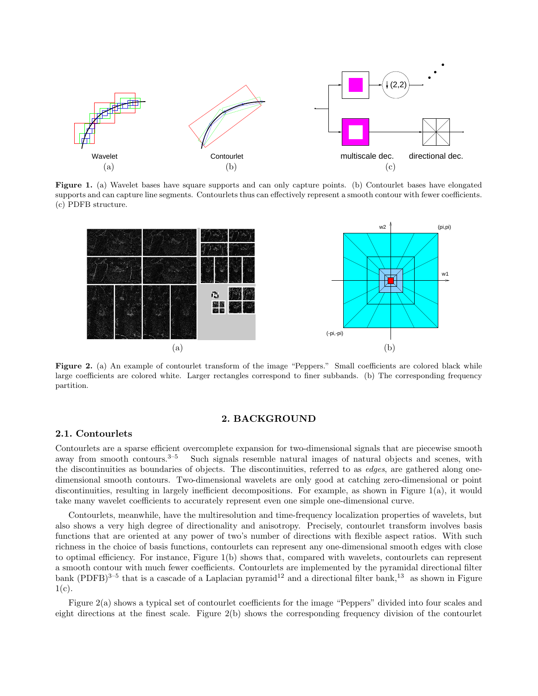

Figure 1. (a) Wavelet bases have square supports and can only capture points. (b) Contourlet bases have elongated supports and can capture line segments. Contourlets thus can effectively represent a smooth contour with fewer coefficients. (c) PDFB structure.



Figure 2. (a) An example of contourlet transform of the image "Peppers." Small coefficients are colored black while large coefficients are colored white. Larger rectangles correspond to finer subbands. (b) The corresponding frequency partition.

### 2. BACKGROUND

### 2.1. Contourlets

Contourlets are a sparse efficient overcomplete expansion for two-dimensional signals that are piecewise smooth away from smooth contours. $3^{-5}$  Such signals resemble natural images of natural objects and scenes, with the discontinuities as boundaries of objects. The discontinuities, referred to as *edges*, are gathered along onedimensional smooth contours. Two-dimensional wavelets are only good at catching zero-dimensional or point discontinuities, resulting in largely inefficient decompositions. For example, as shown in Figure 1(a), it would take many wavelet coefficients to accurately represent even one simple one-dimensional curve.

Contourlets, meanwhile, have the multiresolution and time-frequency localization properties of wavelets, but also shows a very high degree of directionality and anisotropy. Precisely, contourlet transform involves basis functions that are oriented at any power of two's number of directions with flexible aspect ratios. With such richness in the choice of basis functions, contourlets can represent any one-dimensional smooth edges with close to optimal efficiency. For instance, Figure 1(b) shows that, compared with wavelets, contourlets can represent a smooth contour with much fewer coefficients. Contourlets are implemented by the pyramidal directional filter bank (PDFB)<sup>3–5</sup> that is a cascade of a Laplacian pyramid<sup>12</sup> and a directional filter bank,<sup>13</sup> as shown in Figure  $1(c)$ .

Figure 2(a) shows a typical set of contourlet coefficients for the image "Peppers" divided into four scales and eight directions at the finest scale. Figure 2(b) shows the corresponding frequency division of the contourlet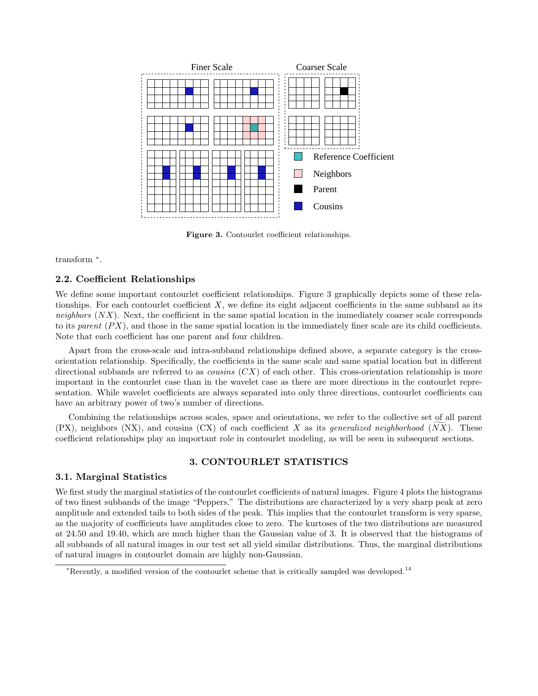

Figure 3. Contourlet coefficient relationships.

transform <sup>∗</sup> .

### 2.2. Coefficient Relationships

We define some important contourlet coefficient relationships. Figure 3 graphically depicts some of these relationships. For each contourlet coefficient  $X$ , we define its eight adjacent coefficients in the same subband as its neighbors  $(NX)$ . Next, the coefficient in the same spatial location in the immediately coarser scale corresponds to its parent  $(P X)$ , and those in the same spatial location in the immediately finer scale are its child coefficients. Note that each coefficient has one parent and four children.

Apart from the cross-scale and intra-subband relationships defined above, a separate category is the crossorientation relationship. Specifically, the coefficients in the same scale and same spatial location but in different directional subbands are referred to as *cousins*  $(CX)$  of each other. This cross-orientation relationship is more important in the contourlet case than in the wavelet case as there are more directions in the contourlet representation. While wavelet coefficients are always separated into only three directions, contourlet coefficients can have an arbitrary power of two's number of directions.

Combining the relationships across scales, space and orientations, we refer to the collective set of all parent  $(PX)$ , neighbors  $(NX)$ , and cousins  $(CX)$  of each coefficient X as its *generalized neighborhood*  $(NX)$ . These coefficient relationships play an important role in contourlet modeling, as will be seen in subsequent sections.

## 3. CONTOURLET STATISTICS

### 3.1. Marginal Statistics

We first study the marginal statistics of the contourlet coefficients of natural images. Figure 4 plots the histograms of two finest subbands of the image "Peppers." The distributions are characterized by a very sharp peak at zero amplitude and extended tails to both sides of the peak. This implies that the contourlet transform is very sparse, as the majority of coefficients have amplitudes close to zero. The kurtoses of the two distributions are measured at 24.50 and 19.40, which are much higher than the Gaussian value of 3. It is observed that the histograms of all subbands of all natural images in our test set all yield similar distributions. Thus, the marginal distributions of natural images in contourlet domain are highly non-Gaussian.

<sup>\*</sup>Recently, a modified version of the contourlet scheme that is critically sampled was developed.<sup>14</sup>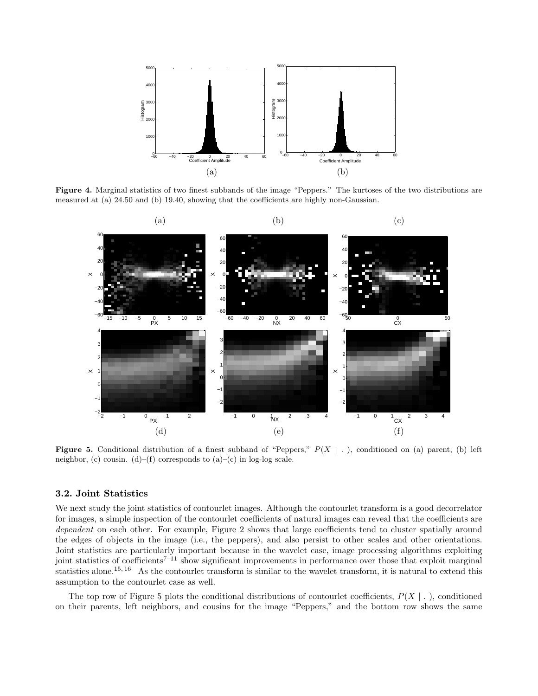

Figure 4. Marginal statistics of two finest subbands of the image "Peppers." The kurtoses of the two distributions are measured at (a) 24.50 and (b) 19.40, showing that the coefficients are highly non-Gaussian.



**Figure 5.** Conditional distribution of a finest subband of "Peppers,"  $P(X \mid .)$ , conditioned on (a) parent, (b) left neighbor, (c) cousin. (d)–(f) corresponds to  $(a)$ –(c) in log-log scale.

## 3.2. Joint Statistics

We next study the joint statistics of contourlet images. Although the contourlet transform is a good decorrelator for images, a simple inspection of the contourlet coefficients of natural images can reveal that the coefficients are dependent on each other. For example, Figure 2 shows that large coefficients tend to cluster spatially around the edges of objects in the image (i.e., the peppers), and also persist to other scales and other orientations. Joint statistics are particularly important because in the wavelet case, image processing algorithms exploiting joint statistics of coefficients<sup> $7-11$ </sup> show significant improvements in performance over those that exploit marginal statistics alone.<sup>15, 16</sup> As the contourlet transform is similar to the wavelet transform, it is natural to extend this assumption to the contourlet case as well.

The top row of Figure 5 plots the conditional distributions of contourlet coefficients,  $P(X \mid .)$ , conditioned on their parents, left neighbors, and cousins for the image "Peppers," and the bottom row shows the same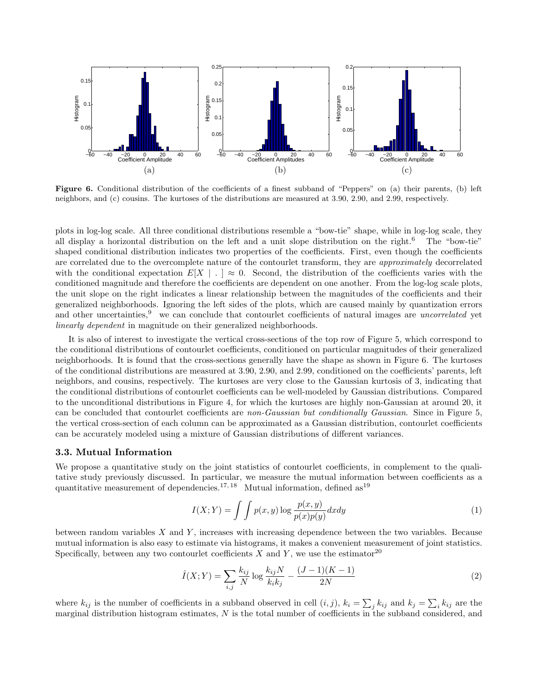

Figure 6. Conditional distribution of the coefficients of a finest subband of "Peppers" on (a) their parents, (b) left neighbors, and (c) cousins. The kurtoses of the distributions are measured at 3.90, 2.90, and 2.99, respectively.

plots in log-log scale. All three conditional distributions resemble a "bow-tie" shape, while in log-log scale, they all display a horizontal distribution on the left and a unit slope distribution on the right.<sup>6</sup> The "bow-tie" shaped conditional distribution indicates two properties of the coefficients. First, even though the coefficients are correlated due to the overcomplete nature of the contourlet transform, they are approximately decorrelated with the conditional expectation  $E[X \mid . \mid \approx 0$ . Second, the distribution of the coefficients varies with the conditioned magnitude and therefore the coefficients are dependent on one another. From the log-log scale plots, the unit slope on the right indicates a linear relationship between the magnitudes of the coefficients and their generalized neighborhoods. Ignoring the left sides of the plots, which are caused mainly by quantization errors and other uncertainties, $9$  we can conclude that contourlet coefficients of natural images are *uncorrelated* yet linearly dependent in magnitude on their generalized neighborhoods.

It is also of interest to investigate the vertical cross-sections of the top row of Figure 5, which correspond to the conditional distributions of contourlet coefficients, conditioned on particular magnitudes of their generalized neighborhoods. It is found that the cross-sections generally have the shape as shown in Figure 6. The kurtoses of the conditional distributions are measured at 3.90, 2.90, and 2.99, conditioned on the coefficients' parents, left neighbors, and cousins, respectively. The kurtoses are very close to the Gaussian kurtosis of 3, indicating that the conditional distributions of contourlet coefficients can be well-modeled by Gaussian distributions. Compared to the unconditional distributions in Figure 4, for which the kurtoses are highly non-Gaussian at around 20, it can be concluded that contourlet coefficients are non-Gaussian but conditionally Gaussian. Since in Figure 5, the vertical cross-section of each column can be approximated as a Gaussian distribution, contourlet coefficients can be accurately modeled using a mixture of Gaussian distributions of different variances.

### 3.3. Mutual Information

We propose a quantitative study on the joint statistics of contourlet coefficients, in complement to the qualitative study previously discussed. In particular, we measure the mutual information between coefficients as a quantitative measurement of dependencies.<sup>17, 18</sup> Mutual information, defined as<sup>19</sup>

$$
I(X;Y) = \int \int p(x,y) \log \frac{p(x,y)}{p(x)p(y)} dx dy
$$
\n(1)

between random variables  $X$  and  $Y$ , increases with increasing dependence between the two variables. Because mutual information is also easy to estimate via histograms, it makes a convenient measurement of joint statistics. Specifically, between any two contourlet coefficients X and Y, we use the estimator<sup>20</sup>

$$
\hat{I}(X;Y) = \sum_{i,j} \frac{k_{ij}}{N} \log \frac{k_{ij}N}{k_ik_j} - \frac{(J-1)(K-1)}{2N}
$$
\n(2)

where  $k_{ij}$  is the number of coefficients in a subband observed in cell  $(i, j)$ ,  $k_i = \sum$  $j k_{ij}$  and  $k_j = \sum$  $i k_{ij}$  are the marginal distribution histogram estimates, N is the total number of coefficients in the subband considered, and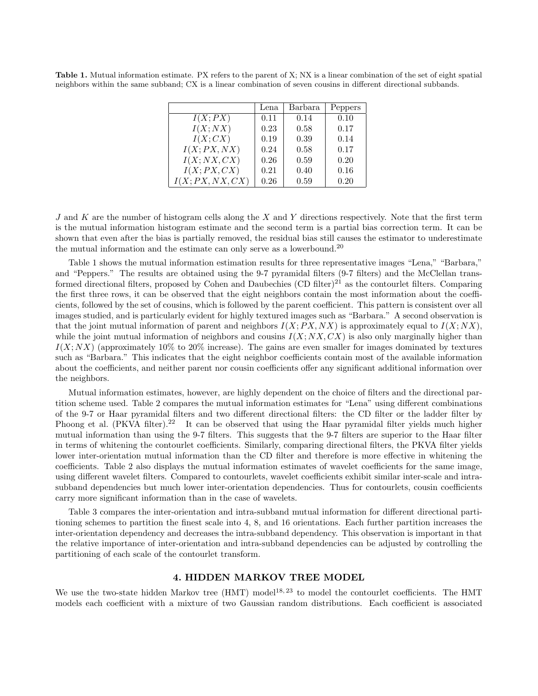Table 1. Mutual information estimate. PX refers to the parent of X; NX is a linear combination of the set of eight spatial neighbors within the same subband; CX is a linear combination of seven cousins in different directional subbands.

|               | Lena | Barbara | Peppers |
|---------------|------|---------|---------|
| I(X;PX)       | 0.11 | 0.14    | 0.10    |
| I(X;NX)       | 0.23 | 0.58    | 0.17    |
| I(X;CX)       | 0.19 | 0.39    | 0.14    |
| I(X;PX,NX)    | 0.24 | 0.58    | 0.17    |
| I(X;NX,CX)    | 0.26 | 0.59    | 0.20    |
| I(X;PX,CX)    | 0.21 | 0.40    | 0.16    |
| I(X;PX,NX,CX) | 0.26 | 0.59    | 0.20    |

J and K are the number of histogram cells along the X and Y directions respectively. Note that the first term is the mutual information histogram estimate and the second term is a partial bias correction term. It can be shown that even after the bias is partially removed, the residual bias still causes the estimator to underestimate the mutual information and the estimate can only serve as a lowerbound.<sup>20</sup>

Table 1 shows the mutual information estimation results for three representative images "Lena," "Barbara," and "Peppers." The results are obtained using the 9-7 pyramidal filters (9-7 filters) and the McClellan transformed directional filters, proposed by Cohen and Daubechies  $(CD$  filter)<sup>21</sup> as the contourlet filters. Comparing the first three rows, it can be observed that the eight neighbors contain the most information about the coefficients, followed by the set of cousins, which is followed by the parent coefficient. This pattern is consistent over all images studied, and is particularly evident for highly textured images such as "Barbara." A second observation is that the joint mutual information of parent and neighbors  $I(X;PX,NX)$  is approximately equal to  $I(X;NX)$ , while the joint mutual information of neighbors and cousins  $I(X;NX, CX)$  is also only marginally higher than  $I(X;NX)$  (approximately 10% to 20% increase). The gains are even smaller for images dominated by textures such as "Barbara." This indicates that the eight neighbor coefficients contain most of the available information about the coefficients, and neither parent nor cousin coefficients offer any significant additional information over the neighbors.

Mutual information estimates, however, are highly dependent on the choice of filters and the directional partition scheme used. Table 2 compares the mutual information estimates for "Lena" using different combinations of the 9-7 or Haar pyramidal filters and two different directional filters: the CD filter or the ladder filter by Phoong et al. (PKVA filter).<sup>22</sup> It can be observed that using the Haar pyramidal filter yields much higher mutual information than using the 9-7 filters. This suggests that the 9-7 filters are superior to the Haar filter in terms of whitening the contourlet coefficients. Similarly, comparing directional filters, the PKVA filter yields lower inter-orientation mutual information than the CD filter and therefore is more effective in whitening the coefficients. Table 2 also displays the mutual information estimates of wavelet coefficients for the same image, using different wavelet filters. Compared to contourlets, wavelet coefficients exhibit similar inter-scale and intrasubband dependencies but much lower inter-orientation dependencies. Thus for contourlets, cousin coefficients carry more significant information than in the case of wavelets.

Table 3 compares the inter-orientation and intra-subband mutual information for different directional partitioning schemes to partition the finest scale into 4, 8, and 16 orientations. Each further partition increases the inter-orientation dependency and decreases the intra-subband dependency. This observation is important in that the relative importance of inter-orientation and intra-subband dependencies can be adjusted by controlling the partitioning of each scale of the contourlet transform.

# 4. HIDDEN MARKOV TREE MODEL

We use the two-state hidden Markov tree (HMT) model<sup>18, 23</sup> to model the contourlet coefficients. The HMT models each coefficient with a mixture of two Gaussian random distributions. Each coefficient is associated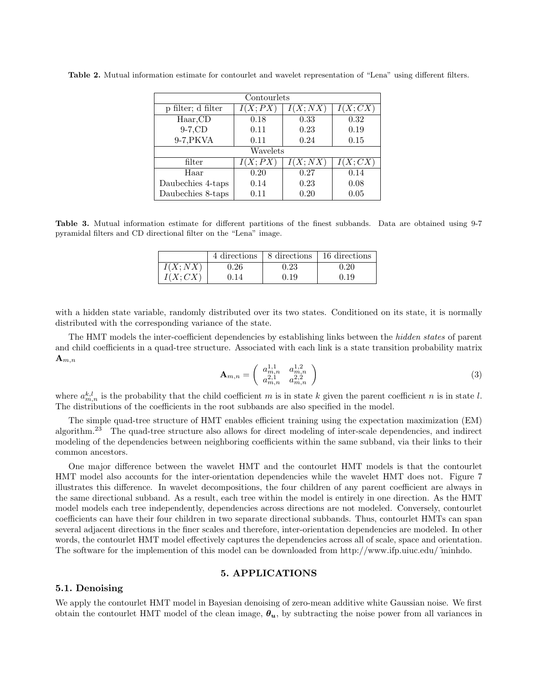| Contourlets        |         |                      |                      |  |  |
|--------------------|---------|----------------------|----------------------|--|--|
| p filter; d filter | I(X;PX) | $\overline{I(X;NX)}$ | $\overline{I(X;CX)}$ |  |  |
| Haar, CD           | 0.18    | 0.33                 | 0.32                 |  |  |
| $9-7$ , $CD$       | 0.11    | 0.23                 | 0.19                 |  |  |
| 9-7, PKVA          | 0.11    | 0.24                 |                      |  |  |
| Wavelets           |         |                      |                      |  |  |
| filter             | I(X;PX) | I(X;NX)              | $\overline{I}(X;CX)$ |  |  |
| Haar               | 0.20    | 0.27                 | 0.14                 |  |  |
| Daubechies 4-taps  | 0.14    | 0.23                 | 0.08                 |  |  |
| Daubechies 8-taps  | 0.11    | 0.20                 | 0.05                 |  |  |

Table 2. Mutual information estimate for contourlet and wavelet representation of "Lena" using different filters.

Table 3. Mutual information estimate for different partitions of the finest subbands. Data are obtained using 9-7 pyramidal filters and CD directional filter on the "Lena" image.

|         |          | 4 directions   8 directions | 16 directions |
|---------|----------|-----------------------------|---------------|
| I(X:NX) | ${).}26$ | $\rm 0.23$                  |               |
| J(X:CX) |          | 0.19                        | 0.19          |

with a hidden state variable, randomly distributed over its two states. Conditioned on its state, it is normally distributed with the corresponding variance of the state.

The HMT models the inter-coefficient dependencies by establishing links between the *hidden states* of parent and child coefficients in a quad-tree structure. Associated with each link is a state transition probability matrix  $\mathbf{A}_{m,n}$  $\overline{a}$ 

$$
\mathbf{A}_{m,n} = \left( \begin{array}{cc} a_{m,n}^{1,1} & a_{m,n}^{1,2} \\ a_{m,n}^{2,1} & a_{m,n}^{2,2} \end{array} \right) \tag{3}
$$

where  $a_{m,n}^{k,l}$  is the probability that the child coefficient m is in state k given the parent coefficient n is in state l. The distributions of the coefficients in the root subbands are also specified in the model.

The simple quad-tree structure of HMT enables efficient training using the expectation maximization (EM) algorithm.<sup>23</sup> The quad-tree structure also allows for direct modeling of inter-scale dependencies, and indirect modeling of the dependencies between neighboring coefficients within the same subband, via their links to their common ancestors.

One major difference between the wavelet HMT and the contourlet HMT models is that the contourlet HMT model also accounts for the inter-orientation dependencies while the wavelet HMT does not. Figure 7 illustrates this difference. In wavelet decompositions, the four children of any parent coefficient are always in the same directional subband. As a result, each tree within the model is entirely in one direction. As the HMT model models each tree independently, dependencies across directions are not modeled. Conversely, contourlet coefficients can have their four children in two separate directional subbands. Thus, contourlet HMTs can span several adjacent directions in the finer scales and therefore, inter-orientation dependencies are modeled. In other words, the contourlet HMT model effectively captures the dependencies across all of scale, space and orientation. The software for the implemention of this model can be downloaded from http://www.ifp.uiuc.edu/˜minhdo.

### 5. APPLICATIONS

### 5.1. Denoising

We apply the contourlet HMT model in Bayesian denoising of zero-mean additive white Gaussian noise. We first obtain the contourlet HMT model of the clean image,  $\theta_u$ , by subtracting the noise power from all variances in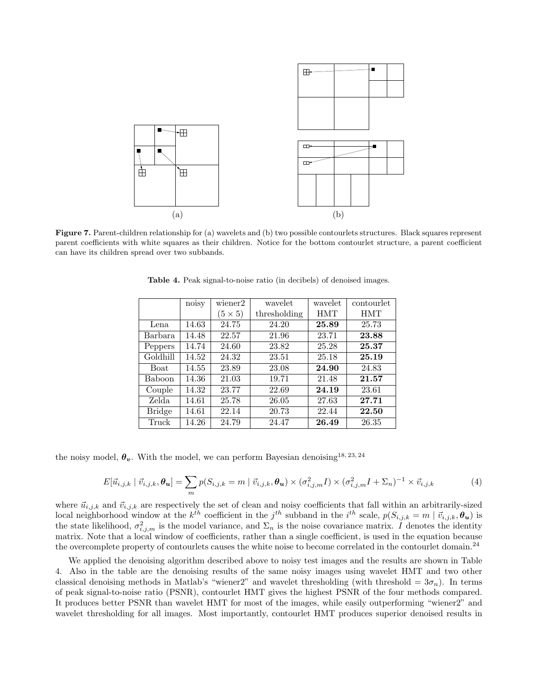

Figure 7. Parent-children relationship for (a) wavelets and (b) two possible contourlets structures. Black squares represent parent coefficients with white squares as their children. Notice for the bottom contourlet structure, a parent coefficient can have its children spread over two subbands.

|               | noisy | $\overline{w}$ iener2 | wavelet      | wavelet    | contourlet |
|---------------|-------|-----------------------|--------------|------------|------------|
|               |       | $(5\times5)$          | thresholding | <b>HMT</b> | <b>HMT</b> |
| Lena          | 14.63 | 24.75                 | 24.20        | 25.89      | 25.73      |
| Barbara       | 14.48 | 22.57                 | 21.96        | 23.71      | 23.88      |
| Peppers       | 14.74 | 24.60                 | 23.82        | 25.28      | 25.37      |
| Goldhill      | 14.52 | 24.32                 | 23.51        | 25.18      | 25.19      |
| <b>Boat</b>   | 14.55 | 23.89                 | 23.08        | 24.90      | 24.83      |
| Baboon        | 14.36 | 21.03                 | 19.71        | 21.48      | 21.57      |
| Couple        | 14.32 | 23.77                 | 22.69        | 24.19      | 23.61      |
| Zelda         | 14.61 | 25.78                 | 26.05        | 27.63      | 27.71      |
| <b>Bridge</b> | 14.61 | 22.14                 | 20.73        | 22.44      | 22.50      |
| Truck         | 14.26 | 24.79                 | 24.47        | 26.49      | 26.35      |

Table 4. Peak signal-to-noise ratio (in decibels) of denoised images.

the noisy model,  $\theta_v$ . With the model, we can perform Bayesian denoising<sup>18, 23, 24</sup>

$$
E[\vec{u}_{i,j,k} | \vec{v}_{i,j,k}, \theta_{\mathbf{u}}] = \sum_{m} p(S_{i,j,k} = m | \vec{v}_{i,j,k}, \theta_{\mathbf{u}}) \times (\sigma_{i,j,m}^2 I) \times (\sigma_{i,j,m}^2 I + \Sigma_n)^{-1} \times \vec{v}_{i,j,k}
$$
(4)

where  $\vec{u}_{i,j,k}$  and  $\vec{v}_{i,j,k}$  are respectively the set of clean and noisy coefficients that fall within an arbitrarily-sized local neighborhood window at the  $k^{th}$  coefficient in the  $j^{th}$  subband in the  $i^{th}$  scale,  $p(S_{i,j,k} = m \mid \vec{v}_{i,j,k}, \theta_u)$  is the state likelihood,  $\sigma_{i,j,m}^2$  is the model variance, and  $\Sigma_n$  is the noise covariance matrix. I denotes the identity matrix. Note that a local window of coefficients, rather than a single coefficient, is used in the equation because the overcomplete property of contourlets causes the white noise to become correlated in the contourlet domain.<sup>24</sup>

We applied the denoising algorithm described above to noisy test images and the results are shown in Table 4. Also in the table are the denoising results of the same noisy images using wavelet HMT and two other classical denoising methods in Matlab's "wiener2" and wavelet thresholding (with threshold =  $3\sigma_n$ ). In terms of peak signal-to-noise ratio (PSNR), contourlet HMT gives the highest PSNR of the four methods compared. It produces better PSNR than wavelet HMT for most of the images, while easily outperforming "wiener2" and wavelet thresholding for all images. Most importantly, contourlet HMT produces superior denoised results in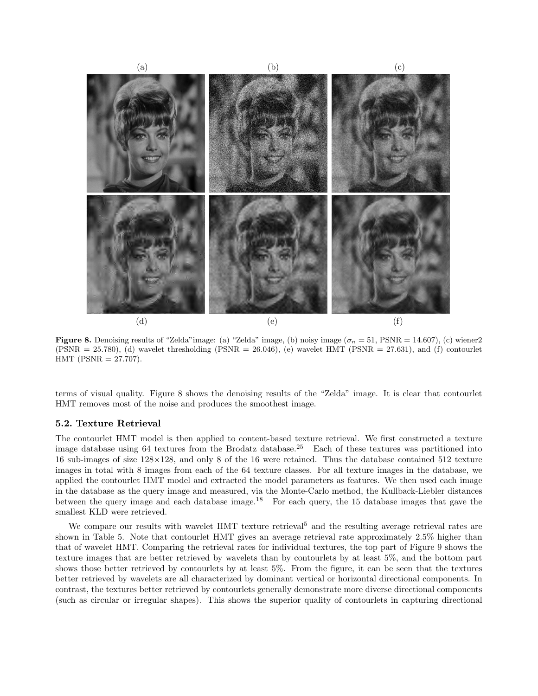

**Figure 8.** Denoising results of "Zelda" image: (a) "Zelda" image, (b) noisy image  $(\sigma_n = 51, \text{PSNR} = 14.607)$ , (c) wiener2  $(PSNR = 25.780)$ , (d) wavelet thresholding  $(PSNR = 26.046)$ , (e) wavelet HMT ( $PSNR = 27.631$ ), and (f) contourlet  $HMT$  (PSNR = 27.707).

terms of visual quality. Figure 8 shows the denoising results of the "Zelda" image. It is clear that contourlet HMT removes most of the noise and produces the smoothest image.

#### 5.2. Texture Retrieval

The contourlet HMT model is then applied to content-based texture retrieval. We first constructed a texture image database using 64 textures from the Brodatz database.<sup>25</sup> Each of these textures was partitioned into 16 sub-images of size 128×128, and only 8 of the 16 were retained. Thus the database contained 512 texture images in total with 8 images from each of the 64 texture classes. For all texture images in the database, we applied the contourlet HMT model and extracted the model parameters as features. We then used each image in the database as the query image and measured, via the Monte-Carlo method, the Kullback-Liebler distances between the query image and each database image.<sup>18</sup> For each query, the 15 database images that gave the smallest KLD were retrieved.

We compare our results with wavelet HMT texture retrieval<sup>5</sup> and the resulting average retrieval rates are shown in Table 5. Note that contourlet HMT gives an average retrieval rate approximately 2.5% higher than that of wavelet HMT. Comparing the retrieval rates for individual textures, the top part of Figure 9 shows the texture images that are better retrieved by wavelets than by contourlets by at least 5%, and the bottom part shows those better retrieved by contourlets by at least 5%. From the figure, it can be seen that the textures better retrieved by wavelets are all characterized by dominant vertical or horizontal directional components. In contrast, the textures better retrieved by contourlets generally demonstrate more diverse directional components (such as circular or irregular shapes). This shows the superior quality of contourlets in capturing directional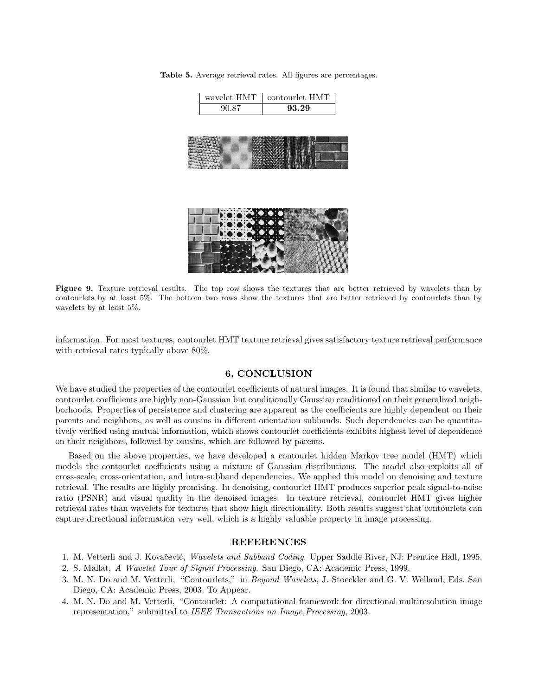Table 5. Average retrieval rates. All figures are percentages.

wavelet HMT contourlet HMT 90.87 93.29

Figure 9. Texture retrieval results. The top row shows the textures that are better retrieved by wavelets than by contourlets by at least 5%. The bottom two rows show the textures that are better retrieved by contourlets than by wavelets by at least 5%.

information. For most textures, contourlet HMT texture retrieval gives satisfactory texture retrieval performance with retrieval rates typically above 80%.

#### 6. CONCLUSION

We have studied the properties of the contourlet coefficients of natural images. It is found that similar to wavelets, contourlet coefficients are highly non-Gaussian but conditionally Gaussian conditioned on their generalized neighborhoods. Properties of persistence and clustering are apparent as the coefficients are highly dependent on their parents and neighbors, as well as cousins in different orientation subbands. Such dependencies can be quantitatively verified using mutual information, which shows contourlet coefficients exhibits highest level of dependence on their neighbors, followed by cousins, which are followed by parents.

Based on the above properties, we have developed a contourlet hidden Markov tree model (HMT) which models the contourlet coefficients using a mixture of Gaussian distributions. The model also exploits all of cross-scale, cross-orientation, and intra-subband dependencies. We applied this model on denoising and texture retrieval. The results are highly promising. In denoising, contourlet HMT produces superior peak signal-to-noise ratio (PSNR) and visual quality in the denoised images. In texture retrieval, contourlet HMT gives higher retrieval rates than wavelets for textures that show high directionality. Both results suggest that contourlets can capture directional information very well, which is a highly valuable property in image processing.

### REFERENCES

- 1. M. Vetterli and J. Kovačević, Wavelets and Subband Coding. Upper Saddle River, NJ: Prentice Hall, 1995.
- 2. S. Mallat, A Wavelet Tour of Signal Processing. San Diego, CA: Academic Press, 1999.
- 3. M. N. Do and M. Vetterli, "Contourlets," in Beyond Wavelets, J. Stoeckler and G. V. Welland, Eds. San Diego, CA: Academic Press, 2003. To Appear.
- 4. M. N. Do and M. Vetterli, "Contourlet: A computational framework for directional multiresolution image representation," submitted to IEEE Transactions on Image Processing, 2003.